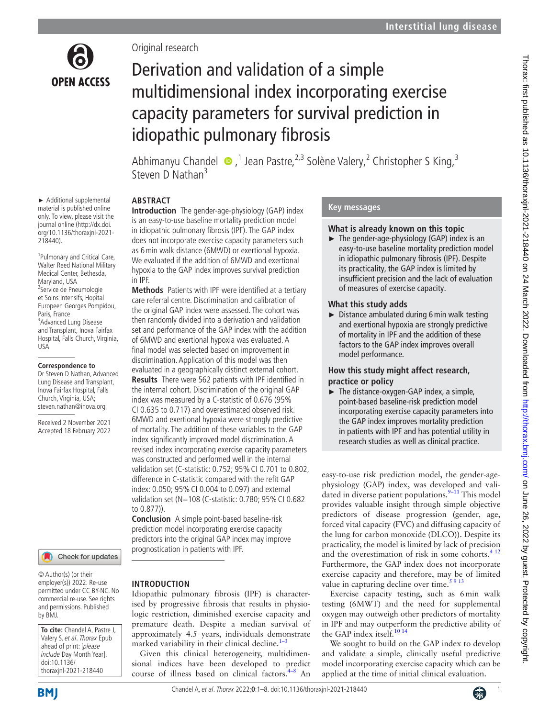

► Additional supplemental material is published online only. To view, please visit the journal online ([http://dx.doi.](http://dx.doi.org/10.1136/thoraxjnl-2021-218440) [org/10.1136/thoraxjnl-2021-](http://dx.doi.org/10.1136/thoraxjnl-2021-218440)

1 Pulmonary and Critical Care, Walter Reed National Military Medical Center, Bethesda, Maryland, USA <sup>2</sup>Service de Pneumologie et Soins Intensifs, Hopital Europeen Georges Pompidou,

[218440](http://dx.doi.org/10.1136/thoraxjnl-2021-218440)).

Paris, France

USA

<sup>3</sup> Advanced Lung Disease and Transplant, Inova Fairfax Hospital, Falls Church, Virginia,

**Correspondence to** Dr Steven D Nathan, Advanced Lung Disease and Transplant, Inova Fairfax Hospital, Falls Church, Virginia, USA; steven.nathan@inova.org Received 2 November 2021 Accepted 18 February 2022

Original research

# Derivation and validation of a simple multidimensional index incorporating exercise capacity parameters for survival prediction in idiopathic pulmonary fibrosis

AbhimanyuChandel  $\bullet$ ,<sup>1</sup> Jean Pastre,<sup>2,3</sup> Solène Valery,<sup>2</sup> Christopher S King,<sup>3</sup> Steven D Nathan<sup>3</sup>

# **ABSTRACT**

**Introduction** The gender-age-physiology (GAP) index is an easy-to-use baseline mortality prediction model in idiopathic pulmonary fibrosis (IPF). The GAP index does not incorporate exercise capacity parameters such as 6min walk distance (6MWD) or exertional hypoxia. We evaluated if the addition of 6MWD and exertional hypoxia to the GAP index improves survival prediction in IPF.

**Methods** Patients with IPF were identified at a tertiary care referral centre. Discrimination and calibration of the original GAP index were assessed. The cohort was then randomly divided into a derivation and validation set and performance of the GAP index with the addition of 6MWD and exertional hypoxia was evaluated. A final model was selected based on improvement in discrimination. Application of this model was then evaluated in a geographically distinct external cohort. **Results** There were 562 patients with IPF identified in the internal cohort. Discrimination of the original GAP index was measured by a C-statistic of 0.676 (95% CI 0.635 to 0.717) and overestimated observed risk. 6MWD and exertional hypoxia were strongly predictive of mortality. The addition of these variables to the GAP index significantly improved model discrimination. A revised index incorporating exercise capacity parameters was constructed and performed well in the internal validation set (C-statistic: 0.752; 95% CI 0.701 to 0.802, difference in C-statistic compared with the refit GAP index: 0.050; 95%CI 0.004 to 0.097) and external validation set (N=108 (C-statistic: 0.780; 95% CI 0.682 to 0.877)).

**Conclusion** A simple point-based baseline-risk prediction model incorporating exercise capacity predictors into the original GAP index may improve prognostication in patients with IPF.

Idiopathic pulmonary fibrosis (IPF) is characterised by progressive fibrosis that results in physiologic restriction, diminished exercise capacity and premature death. Despite a median survival of approximately 4.5 years, individuals demonstrate marked variability in their clinical decline. $1-3$ 

Given this clinical heterogeneity, multidimensional indices have been developed to predict course of illness based on clinical factors.<sup>[4–8](#page-6-1)</sup> An

**INTRODUCTION**

#### © Author(s) (or their employer(s)) 2022. Re-use permitted under CC BY-NC. No

Check for updates

commercial re-use. See rights and permissions. Published by BMJ.

**To cite:** Chandel A, Pastre J, Valery S, et al. Thorax Epub ahead of print: [please include Day Month Year]. doi:10.1136/ thoraxjnl-2021-218440

# **Key messages**

## **What is already known on this topic**

 $\blacktriangleright$  The gender-age-physiology (GAP) index is an easy-to-use baseline mortality prediction model in idiopathic pulmonary fibrosis (IPF). Despite its practicality, the GAP index is limited by insufficient precision and the lack of evaluation of measures of exercise capacity.

# **What this study adds**

► Distance ambulated during 6min walk testing and exertional hypoxia are strongly predictive of mortality in IPF and the addition of these factors to the GAP index improves overall model performance.

## **How this study might affect research, practice or policy**

► The distance-oxygen-GAP index, a simple, point-based baseline-risk prediction model incorporating exercise capacity parameters into the GAP index improves mortality prediction in patients with IPF and has potential utility in research studies as well as clinical practice.

easy-to-use risk prediction model, the gender-agephysiology (GAP) index, was developed and validated in diverse patient populations. $9-11$  This model provides valuable insight through simple objective predictors of disease progression (gender, age, forced vital capacity (FVC) and diffusing capacity of the lung for carbon monoxide (DLCO)). Despite its practicality, the model is limited by lack of precision and the overestimation of risk in some cohorts.<sup>[4 12](#page-6-1)</sup> Furthermore, the GAP index does not incorporate exercise capacity and therefore, may be of limited value in capturing decline over time. $5913$ 

Exercise capacity testing, such as 6min walk testing (6MWT) and the need for supplemental oxygen may outweigh other predictors of mortality in IPF and may outperform the predictive ability of the GAP index itself.<sup>[10 14](#page-7-0)</sup>

We sought to build on the GAP index to develop and validate a simple, clinically useful predictive model incorporating exercise capacity which can be applied at the time of initial clinical evaluation.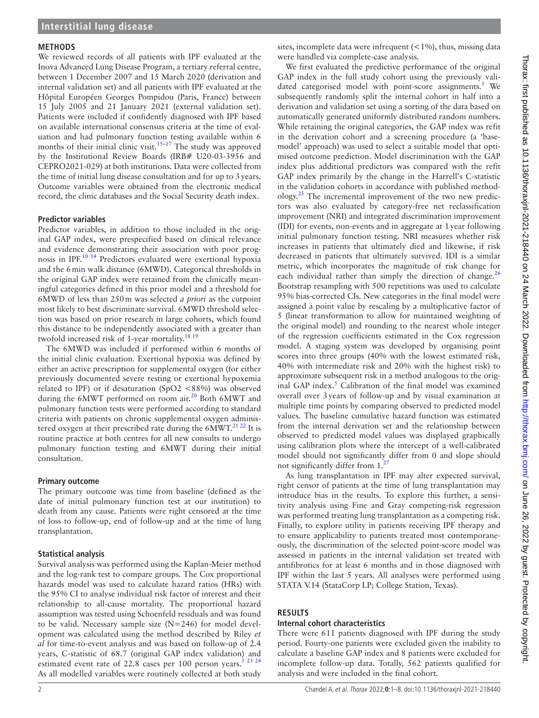#### **METHODS**

We reviewed records of all patients with IPF evaluated at the Inova Advanced Lung Disease Program, a tertiary referral centre, between 1 December 2007 and 15 March 2020 (derivation and internal validation set) and all patients with IPF evaluated at the Hôpital Européen Georges Pompidou (Paris, France) between 15 July 2005 and 21 January 2021 (external validation set). Patients were included if confidently diagnosed with IPF based on available international consensus criteria at the time of evaluation and had pulmonary function testing available within 6 months of their initial clinic visit.<sup>15-17</sup> The study was approved by the Institutional Review Boards (IRB# U20-03-3956 and CEPRO2021-029) at both institutions. Data were collected from the time of initial lung disease consultation and for up to 3years. Outcome variables were obtained from the electronic medical record, the clinic databases and the Social Security death index.

#### **Predictor variables**

Predictor variables, in addition to those included in the original GAP index, were prespecified based on clinical relevance and evidence demonstrating their association with poor prognosis in IPF.[10 14](#page-7-0) Predictors evaluated were exertional hypoxia and the 6min walk distance (6MWD). Categorical thresholds in the original GAP index were retained from the clinically meaningful categories defined in this prior model and a threshold for 6MWD of less than 250m was selected *a priori* as the cutpoint most likely to best discriminate survival. 6MWD threshold selection was based on prior research in large cohorts, which found this distance to be independently associated with a greater than twofold increased risk of 1-year mortality.<sup>[18 19](#page-7-2)</sup>

The 6MWD was included if performed within 6 months of the initial clinic evaluation. Exertional hypoxia was defined by either an active prescription for supplemental oxygen (for either previously documented severe resting or exertional hypoxemia related to IPF) or if desaturation (SpO2 <88%) was observed during the 6MWT performed on room air.<sup>20</sup> Both 6MWT and pulmonary function tests were performed according to standard criteria with patients on chronic supplemental oxygen administered oxygen at their prescribed rate during the  $6MWT<sup>21,22</sup>$  It is routine practice at both centres for all new consults to undergo pulmonary function testing and 6MWT during their initial consultation.

#### **Primary outcome**

The primary outcome was time from baseline (defined as the date of initial pulmonary function test at our institution) to death from any cause. Patients were right censored at the time of loss to follow-up, end of follow-up and at the time of lung transplantation.

#### **Statistical analysis**

Survival analysis was performed using the Kaplan-Meier method and the log-rank test to compare groups. The Cox proportional hazards model was used to calculate hazard ratios (HRs) with the 95% CI to analyse individual risk factor of interest and their relationship to all-cause mortality. The proportional hazard assumption was tested using Schoenfeld residuals and was found to be valid. Necessary sample size (N=246) for model development was calculated using the method described by Riley *et al* for time-to-event analysis and was based on follow-up of 2.4 years, C-statistic of 68.7 (original GAP index validation) and estimated event rate of 22.8 cases per 100 person years.<sup>5 23 24</sup> As all modelled variables were routinely collected at both study

sites, incomplete data were infrequent  $(<1%)$ , thus, missing data were handled via complete-case analysis.

We first evaluated the predictive performance of the original GAP index in the full study cohort using the previously vali-dated categorised model with point-score assignments.<sup>[5](#page-6-3)</sup> We subsequently randomly split the internal cohort in half into a derivation and validation set using a sorting of the data based on automatically generated uniformly distributed random numbers. While retaining the original categories, the GAP index was refit in the derivation cohort and a screening procedure (a 'basemodel' approach) was used to select a suitable model that optimised outcome prediction. Model discrimination with the GAP index plus additional predictors was compared with the refit GAP index primarily by the change in the Harrell's C-statistic in the validation cohorts in accordance with published methodology.[25](#page-7-5) The incremental improvement of the two new predictors was also evaluated by category-free net reclassification improvement (NRI) and integrated discrimination improvement (IDI) for events, non-events and in aggregate at 1year following initial pulmonary function testing. NRI measures whether risk increases in patients that ultimately died and likewise, if risk decreased in patients that ultimately survived. IDI is a similar metric, which incorporates the magnitude of risk change for each individual rather than simply the direction of change. $^{26}$  $^{26}$  $^{26}$ Bootstrap resampling with 500 repetitions was used to calculate 95% bias-corrected CIs. New categories in the final model were assigned a point value by rescaling by a multiplicative factor of 5 (linear transformation to allow for maintained weighting of the original model) and rounding to the nearest whole integer of the regression coefficients estimated in the Cox regression model. A staging system was developed by organising point scores into three groups (40% with the lowest estimated risk, 40% with intermediate risk and 20% with the highest risk) to approximate subsequent risk in a method analogous to the orig-inal GAP index.<sup>[5](#page-6-3)</sup> Calibration of the final model was examined overall over 3years of follow-up and by visual examination at multiple time points by comparing observed to predicted model values. The baseline cumulative hazard function was estimated from the internal derivation set and the relationship between observed to predicted model values was displayed graphically using calibration plots where the intercept of a well-calibrated model should not significantly differ from 0 and slope should not significantly differ from  $1<sup>2</sup>$ 

As lung transplantation in IPF may alter expected survival, right censor of patients at the time of lung transplantation may introduce bias in the results. To explore this further, a sensitivity analysis using Fine and Gray competing-risk regression was performed treating lung transplantation as a competing risk. Finally, to explore utility in patients receiving IPF therapy and to ensure applicability to patients treated most contemporaneously, the discrimination of the selected point-score model was assessed in patients in the internal validation set treated with antifibrotics for at least 6 months and in those diagnosed with IPF within the last 5 years. All analyses were performed using STATA V.14 (StataCorp LP; College Station, Texas).

#### **RESULTS**

#### **Internal cohort characteristics**

There were 611 patients diagnosed with IPF during the study period. Fourty-one patients were excluded given the inability to calculate a baseline GAP index and 8 patients were excluded for incomplete follow-up data. Totally, 562 patients qualified for analysis and were included in the final cohort.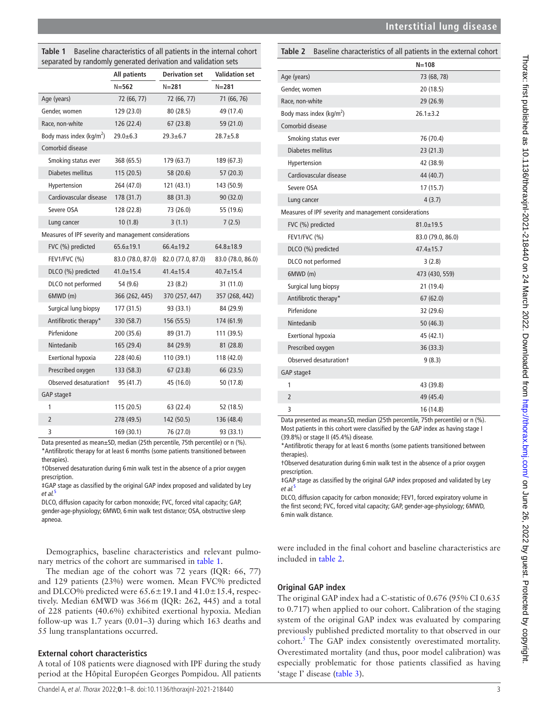<span id="page-2-0"></span>

| Table 1 | Baseline characteristics of all patients in the internal cohort |
|---------|-----------------------------------------------------------------|
|         | separated by randomly generated derivation and validation sets  |

|                                                        | <b>All patients</b> | <b>Derivation set</b> | <b>Validation set</b> |
|--------------------------------------------------------|---------------------|-----------------------|-----------------------|
|                                                        | $N = 562$           | $N = 281$             | $N = 281$             |
| Age (years)                                            | 72 (66, 77)         | 72 (66, 77)           | 71 (66, 76)           |
| Gender, women                                          | 129 (23.0)          | 80 (28.5)             | 49 (17.4)             |
| Race, non-white                                        | 126 (22.4)          | 67(23.8)              | 59 (21.0)             |
| Body mass index (kg/m <sup>2</sup> )                   | $29.0 + 6.3$        | $29.3 + 6.7$          | $28.7 + 5.8$          |
| Comorbid disease                                       |                     |                       |                       |
| Smoking status ever                                    | 368 (65.5)          | 179 (63.7)            | 189 (67.3)            |
| Diabetes mellitus                                      | 115(20.5)           | 58 (20.6)             | 57(20.3)              |
| Hypertension                                           | 264 (47.0)          | 121(43.1)             | 143 (50.9)            |
| Cardiovascular disease                                 | 178 (31.7)          | 88 (31.3)             | 90 (32.0)             |
| Severe OSA                                             | 128 (22.8)          | 73 (26.0)             | 55 (19.6)             |
| Lung cancer                                            | 10(1.8)             | 3(1.1)                | 7(2.5)                |
| Measures of IPF severity and management considerations |                     |                       |                       |
| FVC (%) predicted                                      | $65.6 \pm 19.1$     | $66.4 \pm 19.2$       | $64.8 \pm 18.9$       |
| FEV1/FVC (%)                                           | 83.0 (78.0, 87.0)   | 82.0 (77.0, 87.0)     | 83.0 (78.0, 86.0)     |
| DLCO (%) predicted                                     | $41.0 \pm 15.4$     | $41.4 \pm 15.4$       | $40.7 \pm 15.4$       |
| DLCO not performed                                     | 54 (9.6)            | 23(8.2)               | 31 (11.0)             |
| 6MWD (m)                                               | 366 (262, 445)      | 370 (257, 447)        | 357 (268, 442)        |
| Surgical lung biopsy                                   | 177 (31.5)          | 93 (33.1)             | 84 (29.9)             |
| Antifibrotic therapy*                                  | 330 (58.7)          | 156 (55.5)            | 174 (61.9)            |
| Pirfenidone                                            | 200 (35.6)          | 89 (31.7)             | 111 (39.5)            |
| Nintedanib                                             | 165 (29.4)          | 84 (29.9)             | 81 (28.8)             |
| <b>Exertional hypoxia</b>                              | 228 (40.6)          | 110 (39.1)            | 118 (42.0)            |
| Prescribed oxygen                                      | 133 (58.3)          | 67 (23.8)             | 66 (23.5)             |
| Observed desaturation+                                 | 95 (41.7)           | 45 (16.0)             | 50 (17.8)             |
| GAP stage‡                                             |                     |                       |                       |
| 1                                                      | 115 (20.5)          | 63 (22.4)             | 52 (18.5)             |
| $\overline{2}$                                         | 278 (49.5)          | 142 (50.5)            | 136 (48.4)            |
| 3                                                      | 169 (30.1)          | 76 (27.0)             | 93 (33.1)             |

Data presented as mean±SD, median (25th percentile, 75th percentile) or n (%). \*Antifibrotic therapy for at least 6 months (some patients transitioned between therapies).

†Observed desaturation during 6min walk test in the absence of a prior oxygen prescription.

‡GAP stage as classified by the original GAP index proposed and validated by Ley *et al.*[5](#page-6-3)

DLCO, diffusion capacity for carbon monoxide; FVC, forced vital capacity; GAP, gender-age-physiology; 6MWD, 6min walk test distance; OSA, obstructive sleep apneoa.

Demographics, baseline characteristics and relevant pulmonary metrics of the cohort are summarised in [table](#page-2-0) 1.

The median age of the cohort was 72 years (IQR: 66, 77) and 129 patients (23%) were women. Mean FVC% predicted and DLCO% predicted were  $65.6 \pm 19.1$  and  $41.0 \pm 15.4$ , respectively. Median 6MWD was 366m (IQR: 262, 445) and a total of 228 patients (40.6%) exhibited exertional hypoxia. Median follow-up was 1.7 years (0.01–3) during which 163 deaths and 55 lung transplantations occurred.

# **External cohort characteristics**

A total of 108 patients were diagnosed with IPF during the study period at the Hôpital Européen Georges Pompidou. All patients

# <span id="page-2-1"></span>**Table 2** Baseline characteristics of all patients in the external cohort

|                                                        | $N = 108$         |
|--------------------------------------------------------|-------------------|
| Age (years)                                            | 73 (68, 78)       |
| Gender, women                                          | 20 (18.5)         |
| Race, non-white                                        | 29 (26.9)         |
| Body mass index (kg/m <sup>2</sup> )                   | $26.1 \pm 3.2$    |
| Comorbid disease                                       |                   |
| Smoking status ever                                    | 76 (70.4)         |
| Diabetes mellitus                                      | 23(21.3)          |
| Hypertension                                           | 42 (38.9)         |
| Cardiovascular disease                                 | 44 (40.7)         |
| Severe OSA                                             | 17 (15.7)         |
| Lung cancer                                            | 4(3.7)            |
| Measures of IPF severity and management considerations |                   |
| FVC (%) predicted                                      | $81.0 \pm 19.5$   |
| FEV1/FVC $(%)$                                         | 83.0 (79.0, 86.0) |
| DLCO (%) predicted                                     | $47.4 \pm 15.7$   |
| DLCO not performed                                     | 3(2.8)            |
| 6MWD (m)                                               | 473 (430, 559)    |
| Surgical lung biopsy                                   | 21 (19.4)         |
| Antifibrotic therapy*                                  | 67(62.0)          |
| Pirfenidone                                            | 32 (29.6)         |
| Nintedanib                                             | 50(46.3)          |
| Exertional hypoxia                                     | 45 (42.1)         |
| Prescribed oxygen                                      | 36 (33.3)         |
| Observed desaturation+                                 | 9(8.3)            |
| GAP stage‡                                             |                   |
| 1                                                      | 43 (39.8)         |
| $\overline{2}$                                         | 49 (45.4)         |
| 3                                                      | 16 (14.8)         |

Data presented as mean±SD, median (25th percentile, 75th percentile) or n (%). Most patients in this cohort were classified by the GAP index as having stage I (39.8%) or stage II (45.4%) disease.

\*Antifibrotic therapy for at least 6 months (some patients transitioned between therapies).

†Observed desaturation during 6min walk test in the absence of a prior oxygen prescription.

‡GAP stage as classified by the original GAP index proposed and validated by Ley *et al.*[5](#page-6-3)

DLCO, diffusion capacity for carbon monoxide; FEV1, forced expiratory volume in the first second; FVC, forced vital capacity; GAP, gender-age-physiology; 6MWD, 6min walk distance.

were included in the final cohort and baseline characteristics are included in [table](#page-2-1) 2.

# **Original GAP index**

The original GAP index had a C-statistic of 0.676 (95% CI 0.635 to 0.717) when applied to our cohort. Calibration of the staging system of the original GAP index was evaluated by comparing previously published predicted mortality to that observed in our cohort.<sup>[5](#page-6-3)</sup> The GAP index consistently overestimated mortality. Overestimated mortality (and thus, poor model calibration) was especially problematic for those patients classified as having 'stage I' disease [\(table](#page-3-0) 3).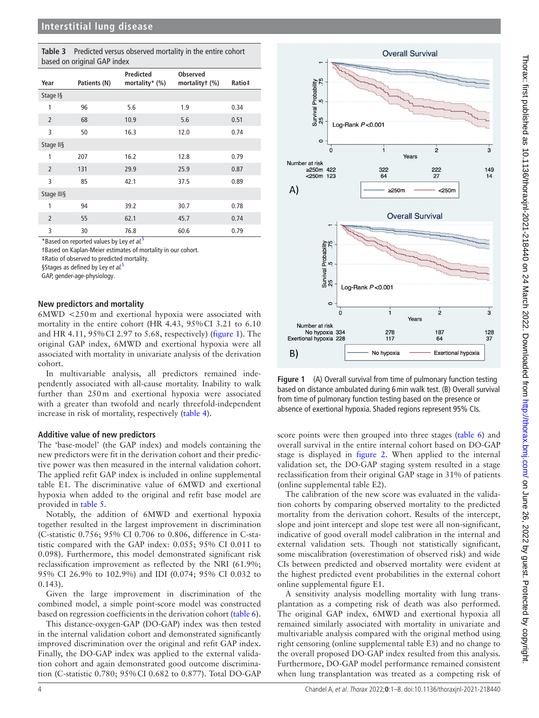<span id="page-3-0"></span>

| Table 3 Predicted versus observed mortality in the entire cohort |
|------------------------------------------------------------------|
| based on original GAP index                                      |

|                | ◡            |                                    |                                   |        |
|----------------|--------------|------------------------------------|-----------------------------------|--------|
| Year           | Patients (N) | <b>Predicted</b><br>mortality* (%) | <b>Observed</b><br>mortalityt (%) | Ratio‡ |
| Stage I§       |              |                                    |                                   |        |
| 1              | 96           | 5.6                                | 1.9                               | 0.34   |
| $\overline{2}$ | 68           | 10.9                               | 5.6                               | 0.51   |
| 3              | 50           | 16.3                               | 12.0                              | 0.74   |
| Stage II§      |              |                                    |                                   |        |
| 1              | 207          | 16.2                               | 12.8                              | 0.79   |
| $\overline{2}$ | 131          | 29.9                               | 25.9                              | 0.87   |
| 3              | 85           | 42.1                               | 37.5                              | 0.89   |
| Stage III§     |              |                                    |                                   |        |
| 1              | 94           | 39.2                               | 30.7                              | 0.78   |
| $\overline{2}$ | 55           | 62.1                               | 45.7                              | 0.74   |
| 3              | 30           | 76.8                               | 60.6                              | 0.79   |

\*Based on reported values by Ley *et al.*[5](#page-6-3)

†Based on Kaplan-Meier estimates of mortality in our cohort.

‡Ratio of observed to predicted mortality.

§Stages as defined by Ley *et al.*[5](#page-6-3)

GAP, gender-age-physiology.

#### **New predictors and mortality**

6MWD <250m and exertional hypoxia were associated with mortality in the entire cohort (HR 4.43, 95%CI 3.21 to 6.10 and HR 4.11, 95%CI 2.97 to 5.68, respectively) [\(figure](#page-3-1) 1). The original GAP index, 6MWD and exertional hypoxia were all associated with mortality in univariate analysis of the derivation cohort.

In multivariable analysis, all predictors remained independently associated with all-cause mortality. Inability to walk further than 250m and exertional hypoxia were associated with a greater than twofold and nearly threefold-independent increase in risk of mortality, respectively ([table](#page-4-0) 4).

#### **Additive value of new predictors**

The 'base-model' (the GAP index) and models containing the new predictors were fit in the derivation cohort and their predictive power was then measured in the internal validation cohort. The applied refit GAP index is included in [online supplemental](https://dx.doi.org/10.1136/thoraxjnl-2021-218440)  [table E1](https://dx.doi.org/10.1136/thoraxjnl-2021-218440). The discriminative value of 6MWD and exertional hypoxia when added to the original and refit base model are provided in [table](#page-5-0) 5.

Notably, the addition of 6MWD and exertional hypoxia together resulted in the largest improvement in discrimination (C-statistic 0.756; 95% CI 0.706 to 0.806, difference in C-statistic compared with the GAP index: 0.055; 95% CI 0.011 to 0.098). Furthermore, this model demonstrated significant risk reclassification improvement as reflected by the NRI (61.9%; 95% CI 26.9% to 102.9%) and IDI (0.074; 95% CI 0.032 to 0.143).

Given the large improvement in discrimination of the combined model, a simple point-score model was constructed based on regression coefficients in the derivation cohort ([table](#page-5-1) 6).

This distance-oxygen-GAP (DO-GAP) index was then tested in the internal validation cohort and demonstrated significantly improved discrimination over the original and refit GAP index. Finally, the DO-GAP index was applied to the external validation cohort and again demonstrated good outcome discrimination (C-statistic 0.780; 95%CI 0.682 to 0.877). Total DO-GAP



<span id="page-3-1"></span>**Figure 1** (A) Overall survival from time of pulmonary function testing based on distance ambulated during 6min walk test. (B) Overall survival from time of pulmonary function testing based on the presence or absence of exertional hypoxia. Shaded regions represent 95% CIs.

score points were then grouped into three stages ([table](#page-5-1) 6) and overall survival in the entire internal cohort based on DO-GAP stage is displayed in [figure](#page-5-2) 2. When applied to the internal validation set, the DO-GAP staging system resulted in a stage reclassification from their original GAP stage in 31% of patients ([online supplemental table E2\)](https://dx.doi.org/10.1136/thoraxjnl-2021-218440).

The calibration of the new score was evaluated in the validation cohorts by comparing observed mortality to the predicted mortality from the derivation cohort. Results of the intercept, slope and joint intercept and slope test were all non-significant, indicative of good overall model calibration in the internal and external validation sets. Though not statistically significant, some miscalibration (overestimation of observed risk) and wide CIs between predicted and observed mortality were evident at the highest predicted event probabilities in the external cohort [online supplemental figure E1.](https://dx.doi.org/10.1136/thoraxjnl-2021-218440)

A sensitivity analysis modelling mortality with lung transplantation as a competing risk of death was also performed. The original GAP index, 6MWD and exertional hypoxia all remained similarly associated with mortality in univariate and multivariable analysis compared with the original method using right censoring ([online supplemental table E3\)](https://dx.doi.org/10.1136/thoraxjnl-2021-218440) and no change to the overall proposed DO-GAP index resulted from this analysis. Furthermore, DO-GAP model performance remained consistent when lung transplantation was treated as a competing risk of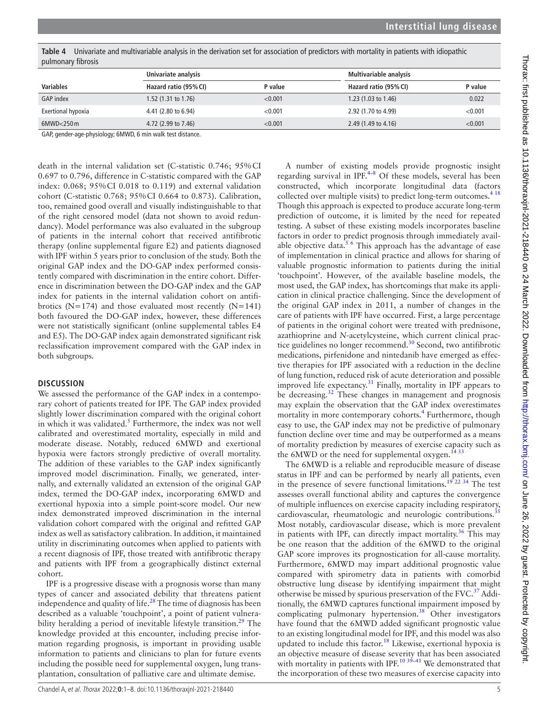| pullitionary ilbrosis |                       |         |                                |         |
|-----------------------|-----------------------|---------|--------------------------------|---------|
|                       | Univariate analysis   |         | Multivariable analysis         |         |
| Variables             | Hazard ratio (95% CI) | P value | Hazard ratio (95% CI)          | P value |
| <b>GAP</b> index      | 1.52 (1.31 to 1.76)   | < 0.001 | 1.23 $(1.03 \text{ to } 1.46)$ | 0.022   |
| Exertional hypoxia    | 4.41 (2.80 to 6.94)   | < 0.001 | 2.92 (1.70 to 4.99)            | < 0.001 |
| 6MWD<250m             | 4.72 (2.99 to 7.46)   | < 0.001 | 2.49 (1.49 to 4.16)            | < 0.001 |

<span id="page-4-0"></span>**Table 4** Univariate and multivariable analysis in the derivation set for association of predictors with mortality in patients with idiopathic pulmonary fibrosis

GAP, gender-age-physiology; 6MWD, 6 min walk test distance.

death in the internal validation set (C-statistic 0.746; 95%CI 0.697 to 0.796, difference in C-statistic compared with the GAP index: 0.068; 95%CI 0.018 to 0.119) and external validation cohort (C-statistic 0.768; 95%CI 0.664 to 0.873). Calibration, too, remained good overall and visually indistinguishable to that of the right censored model (data not shown to avoid redundancy). Model performance was also evaluated in the subgroup of patients in the internal cohort that received antifibrotic therapy [\(online supplemental figure E2](https://dx.doi.org/10.1136/thoraxjnl-2021-218440)) and patients diagnosed with IPF within 5 years prior to conclusion of the study. Both the original GAP index and the DO-GAP index performed consistently compared with discrimination in the entire cohort. Difference in discrimination between the DO-GAP index and the GAP index for patients in the internal validation cohort on antifibrotics ( $N=174$ ) and those evaluated most recently ( $N=141$ ) both favoured the DO-GAP index, however, these differences were not statistically significant [\(online supplemental tables E4](https://dx.doi.org/10.1136/thoraxjnl-2021-218440)  [and E5\)](https://dx.doi.org/10.1136/thoraxjnl-2021-218440). The DO-GAP index again demonstrated significant risk reclassification improvement compared with the GAP index in both subgroups.

### **DISCUSSION**

We assessed the performance of the GAP index in a contemporary cohort of patients treated for IPF. The GAP index provided slightly lower discrimination compared with the original cohort in which it was validated.<sup>[5](#page-6-3)</sup> Furthermore, the index was not well calibrated and overestimated mortality, especially in mild and moderate disease. Notably, reduced 6MWD and exertional hypoxia were factors strongly predictive of overall mortality. The addition of these variables to the GAP index significantly improved model discrimination. Finally, we generated, internally, and externally validated an extension of the original GAP index, termed the DO-GAP index, incorporating 6MWD and exertional hypoxia into a simple point-score model. Our new index demonstrated improved discrimination in the internal validation cohort compared with the original and refitted GAP index as well as satisfactory calibration. In addition, it maintained utility in discriminating outcomes when applied to patients with a recent diagnosis of IPF, those treated with antifibrotic therapy and patients with IPF from a geographically distinct external cohort.

IPF is a progressive disease with a prognosis worse than many types of cancer and associated debility that threatens patient independence and quality of life. $^{28}$  The time of diagnosis has been described as a valuable 'touchpoint', a point of patient vulnera-bility heralding a period of inevitable lifestyle transition.<sup>[29](#page-7-9)</sup> The knowledge provided at this encounter, including precise information regarding prognosis, is important in providing usable information to patients and clinicians to plan for future events including the possible need for supplemental oxygen, lung transplantation, consultation of palliative care and ultimate demise.

A number of existing models provide prognostic insight regarding survival in IPF.<sup>4-8</sup> Of these models, several has been constructed, which incorporate longitudinal data (factors collected over multiple visits) to predict long-term outcomes.<sup>418</sup> Though this approach is expected to produce accurate long-term prediction of outcome, it is limited by the need for repeated testing. A subset of these existing models incorporates baseline factors in order to predict prognosis through immediately available objective data.<sup>5 6</sup> This approach has the advantage of ease of implementation in clinical practice and allows for sharing of valuable prognostic information to patients during the initial 'touchpoint'. However, of the available baseline models, the most used, the GAP index, has shortcomings that make its application in clinical practice challenging. Since the development of the original GAP index in 2011, a number of changes in the care of patients with IPF have occurred. First, a large percentage of patients in the original cohort were treated with prednisone, azathioprine and *N*-acetylcysteine, which current clinical prac-tice guidelines no longer recommend.<sup>[30](#page-7-10)</sup> Second, two antifibrotic medications, pirfenidone and nintedanib have emerged as effective therapies for IPF associated with a reduction in the decline of lung function, reduced risk of acute deterioration and possible improved life expectancy. $31$  Finally, mortality in IPF appears to be decreasing.<sup>32</sup> These changes in management and prognosis may explain the observation that the GAP index overestimates mortality in more contemporary cohorts.<sup>[4](#page-6-1)</sup> Furthermore, though easy to use, the GAP index may not be predictive of pulmonary function decline over time and may be outperformed as a means of mortality prediction by measures of exercise capacity such as the  $6MWD$  or the need for supplemental oxygen.<sup> $1433$ </sup>

The 6MWD is a reliable and reproducible measure of disease status in IPF and can be performed by nearly all patients, even in the presence of severe functional limitations.[19 22 34](#page-7-14) The test assesses overall functional ability and captures the convergence of multiple influences on exercise capacity including respiratory, cardiovascular, rheumatologic and neurologic contributions.<sup>3</sup> Most notably, cardiovascular disease, which is more prevalent in patients with IPF, can directly impact mortality.<sup>[36](#page-7-16)</sup> This may be one reason that the addition of the 6MWD to the original GAP score improves its prognostication for all-cause mortality. Furthermore, 6MWD may impart additional prognostic value compared with spirometry data in patients with comorbid obstructive lung disease by identifying impairment that might otherwise be missed by spurious preservation of the FVC.<sup>[37](#page-7-17)</sup> Additionally, the 6MWD captures functional impairment imposed by complicating pulmonary hypertension.<sup>38</sup> Other investigators have found that the 6MWD added significant prognostic value to an existing longitudinal model for IPF, and this model was also updated to include this factor.<sup>[18](#page-7-2)</sup> Likewise, exertional hypoxia is an objective measure of disease severity that has been associated with mortality in patients with IPF.<sup>10 39–41</sup> We demonstrated that the incorporation of these two measures of exercise capacity into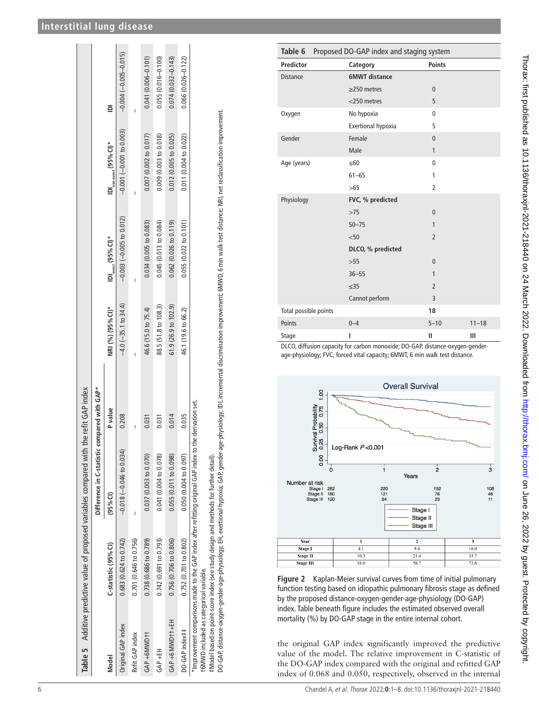|                                         |                                                                                      | Table 5 Additive predictive value of proposed variables compared with the refit GAP index                |         |                           |                                                                                                                                                                                                                       |                                                                |                        |
|-----------------------------------------|--------------------------------------------------------------------------------------|----------------------------------------------------------------------------------------------------------|---------|---------------------------|-----------------------------------------------------------------------------------------------------------------------------------------------------------------------------------------------------------------------|----------------------------------------------------------------|------------------------|
|                                         |                                                                                      | Difference in C-statistic compared with GAP*                                                             |         |                           |                                                                                                                                                                                                                       |                                                                |                        |
| Model                                   | $C$ -statistic (95% $Cl$ )                                                           | $(95%$ Cl)                                                                                               | P value | NRI (%) (95% CI)*         | $\mathsf{IDI}_\mathsf{event}$ (95% $\mathsf{Cl}$ )*                                                                                                                                                                   | $\mathsf{IDI}_\mathsf{non\text{-}event}$ (95% $\mathsf{CI})^*$ | $\equiv$               |
| Original GAP index                      | $0.683$ $(0.624$ to $0.742)$                                                         | $-0.018$ ( $-0.046$ to $0.034$ )                                                                         | 0.208   | $-4.0$ ( $-35.1$ to 34.4) | $-0.003$ $(-0.005$ to 0.012)                                                                                                                                                                                          | $-0.001(-0.001$ to 0.003)                                      | $-0.004(-0.005-0.015)$ |
| Refit GAP index                         | 0.701 (0.646 to 0.756)                                                               |                                                                                                          |         |                           |                                                                                                                                                                                                                       |                                                                |                        |
| GAP +6MWD+1                             | 0.738 (0.686 to 0.789)                                                               | 0.037 (0.003 to 0.070)                                                                                   | 0.031   | 46.6 (15.0 to 75.4)       | 0.034(0.005 to 0.083)                                                                                                                                                                                                 | 0.007(0.002 to 0.017)                                          | $0.041(0.006 - 0.101)$ |
| $GAP + EH$                              | 0.742 (0.691 to 0.793)                                                               | 0.041 (0.004 to 0.078)                                                                                   | 0.031   | 88.5 (51.8 to 108.3)      | 0.045(0.013 to 0.084)                                                                                                                                                                                                 | 0.009(0.003 to 0.018)                                          | $0.055(0.016 - 0.100)$ |
| GAP +6 MWD+++EH                         | 0.756 (0.706 to 0.806)                                                               | 0.055 (0.011 to 0.098)                                                                                   | 0.014   | 61.9(26.9 to 102.9)       | $0.062$ (0.026 to 0.119)                                                                                                                                                                                              | 0.012(0.005 to 0.025)                                          | $0.074(0.032 - 0.143)$ |
| DO-GAP index##                          | 0.752 (0.701 to 0.802)                                                               | 0.050(0.004 to 0.097)                                                                                    | 0.035   | 46.1 (19.6 to 66.2)       | 0.055(0.022 to 0.101)                                                                                                                                                                                                 | 0.011(0.004 to 0.022)                                          | $0.066(0.026 - 0.122)$ |
| +6MWD included as categorical variable. | #Model based on point-score index (see study design and methods for further detail). | * Improvement comparisons made to the GAP index after refitting original GAP index to the derivation set |         |                           | DO-GAP, distance-oxygen-gender-age-physiology; EH, exertional hypoxia; GAP, gender-age-physiology; IDI, incremental discrimination improvement; 6MWD, 6 min walk test distance; NRI, net reclassification improvement |                                                                |                        |

<span id="page-5-1"></span>

| Table 6                                                                       | Proposed DO-GAP index and staging system |                |           |  |
|-------------------------------------------------------------------------------|------------------------------------------|----------------|-----------|--|
| <b>Predictor</b>                                                              | Category                                 | <b>Points</b>  |           |  |
| <b>Distance</b>                                                               | <b>6MWT</b> distance                     |                |           |  |
|                                                                               | $\geq$ 250 metres                        | $\mathbf{0}$   |           |  |
|                                                                               | <250 metres                              | 5              |           |  |
| Oxygen                                                                        | No hypoxia                               | $\mathbf{0}$   |           |  |
|                                                                               | Exertional hypoxia                       | 5              |           |  |
| Gender                                                                        | Female                                   | $\mathbf{0}$   |           |  |
|                                                                               | Male                                     | $\mathbf{1}$   |           |  |
| Age (years)                                                                   | $\leq 60$                                | $\mathbf 0$    |           |  |
|                                                                               | $61 - 65$                                | 1              |           |  |
|                                                                               | >65                                      | $\overline{2}$ |           |  |
| Physiology                                                                    | FVC, % predicted                         |                |           |  |
|                                                                               | >75                                      | $\mathbf{0}$   |           |  |
|                                                                               | $50 - 75$                                | 1              |           |  |
|                                                                               | < 50                                     | $\overline{2}$ |           |  |
|                                                                               | DLCO, % predicted                        |                |           |  |
|                                                                               | $>55$                                    | $\mathbf{0}$   |           |  |
|                                                                               | $36 - 55$                                | 1              |           |  |
|                                                                               | $\leq$ 35                                | $\overline{2}$ |           |  |
|                                                                               | Cannot perform                           | $\overline{3}$ |           |  |
| Total possible points                                                         |                                          | 18             |           |  |
| Points                                                                        | $0 - 4$                                  | $5 - 10$       | $11 - 18$ |  |
| Stage                                                                         | ı                                        | Ш              | Ш         |  |
| DLCO, diffusion capacity for carbon monoxide; DO-GAP, distance-oxygen-gender- |                                          |                |           |  |

age-physiology; FVC, forced vital capacity; 6MWT, 6 min walk test distance.



<span id="page-5-2"></span>**Figure 2** Kaplan-Meier survival curves from time of initial pulmonary function testing based on idiopathic pulmonary fibrosis stage as defined by the proposed distance-oxygen-gender-age-physiology (DO-GAP) index. Table beneath figure includes the estimated observed overall mortality (%) by DO-GAP stage in the entire internal cohort.

<span id="page-5-0"></span>the original GAP index significantly improved the predictive value of the model. The relative improvement in C-statistic of the DO-GAP index compared with the original and refitted GAP index of 0.068 and 0.050, respectively, observed in the internal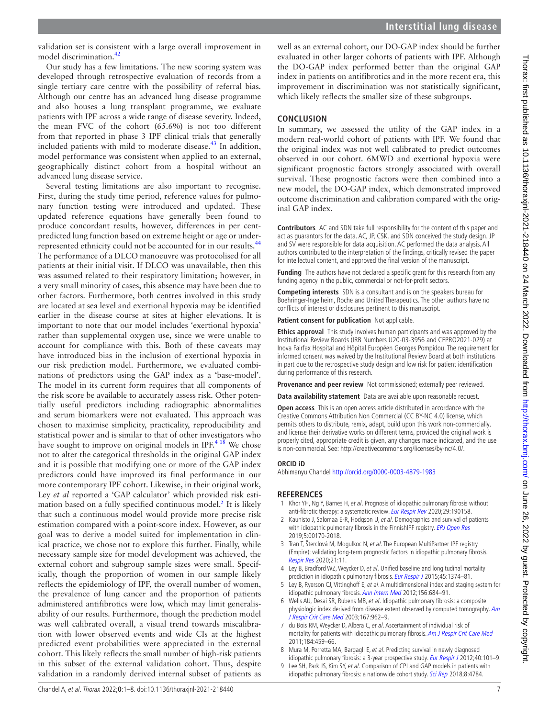validation set is consistent with a large overall improvement in model discrimination.<sup>[42](#page-7-19)</sup>

Our study has a few limitations. The new scoring system was developed through retrospective evaluation of records from a single tertiary care centre with the possibility of referral bias. Although our centre has an advanced lung disease programme and also houses a lung transplant programme, we evaluate patients with IPF across a wide range of disease severity. Indeed, the mean FVC of the cohort (65.6%) is not too different from that reported in phase 3 IPF clinical trials that generally included patients with mild to moderate disease.<sup>[43](#page-7-20)</sup> In addition, model performance was consistent when applied to an external, geographically distinct cohort from a hospital without an advanced lung disease service.

Several testing limitations are also important to recognise. First, during the study time period, reference values for pulmonary function testing were introduced and updated. These updated reference equations have generally been found to produce concordant results, however, differences in per centpredicted lung function based on extreme height or age or under-represented ethnicity could not be accounted for in our results.<sup>[44](#page-7-21)</sup> The performance of a DLCO manoeuvre was protocolised for all patients at their initial visit. If DLCO was unavailable, then this was assumed related to their respiratory limitation; however, in a very small minority of cases, this absence may have been due to other factors. Furthermore, both centres involved in this study are located at sea level and exertional hypoxia may be identified earlier in the disease course at sites at higher elevations. It is important to note that our model includes 'exertional hypoxia' rather than supplemental oxygen use, since we were unable to account for compliance with this. Both of these caveats may have introduced bias in the inclusion of exertional hypoxia in our risk prediction model. Furthermore, we evaluated combinations of predictors using the GAP index as a 'base-model'. The model in its current form requires that all components of the risk score be available to accurately assess risk. Other potentially useful predictors including radiographic abnormalities and serum biomarkers were not evaluated. This approach was chosen to maximise simplicity, practicality, reproducibility and statistical power and is similar to that of other investigators who have sought to improve on original models in IPF.<sup>[4 18](#page-6-1)</sup> We chose not to alter the categorical thresholds in the original GAP index and it is possible that modifying one or more of the GAP index predictors could have improved its final performance in our more contemporary IPF cohort. Likewise, in their original work, Ley *et al* reported a 'GAP calculator' which provided risk estimation based on a fully specified continuous model.<sup>5</sup> It is likely that such a continuous model would provide more precise risk estimation compared with a point-score index. However, as our goal was to derive a model suited for implementation in clinical practice, we chose not to explore this further. Finally, while necessary sample size for model development was achieved, the external cohort and subgroup sample sizes were small. Specifically, though the proportion of women in our sample likely reflects the epidemiology of IPF, the overall number of women, the prevalence of lung cancer and the proportion of patients administered antifibrotics were low, which may limit generalisability of our results. Furthermore, though the prediction model was well calibrated overall, a visual trend towards miscalibration with lower observed events and wide CIs at the highest predicted event probabilities were appreciated in the external cohort. This likely reflects the small number of high-risk patients in this subset of the external validation cohort. Thus, despite validation in a randomly derived internal subset of patients as

well as an external cohort, our DO-GAP index should be further evaluated in other larger cohorts of patients with IPF. Although the DO-GAP index performed better than the original GAP index in patients on antifibrotics and in the more recent era, this improvement in discrimination was not statistically significant, which likely reflects the smaller size of these subgroups.

# **CONCLUSION**

In summary, we assessed the utility of the GAP index in a modern real-world cohort of patients with IPF. We found that the original index was not well calibrated to predict outcomes observed in our cohort. 6MWD and exertional hypoxia were significant prognostic factors strongly associated with overall survival. These prognostic factors were then combined into a new model, the DO-GAP index, which demonstrated improved outcome discrimination and calibration compared with the original GAP index.

**Contributors** AC and SDN take full responsibility for the content of this paper and act as guarantors for the data. AC, JP, CSK, and SDN conceived the study design. JP and SV were responsible for data acquisition. AC performed the data analysis. All authors contributed to the interpretation of the findings, critically revised the paper for intellectual content, and approved the final version of the manuscript.

**Funding** The authors have not declared a specific grant for this research from any funding agency in the public, commercial or not-for-profit sectors.

**Competing interests** SDN is a consultant and is on the speakers bureau for Boehringer-Ingelheim, Roche and United Therapeutics. The other authors have no conflicts of interest or disclosures pertinent to this manuscript.

**Patient consent for publication** Not applicable.

**Ethics approval** This study involves human participants and was approved by the Institutional Review Boards (IRB Numbers U20-03-3956 and CEPRO2021-029) at Inova Fairfax Hospital and Hôpital Européen Georges Pompidou. The requirement for informed consent was waived by the Institutional Review Board at both institutions in part due to the retrospective study design and low risk for patient identification during performance of this research.

**Provenance and peer review** Not commissioned; externally peer reviewed.

**Data availability statement** Data are available upon reasonable request.

**Open access** This is an open access article distributed in accordance with the Creative Commons Attribution Non Commercial (CC BY-NC 4.0) license, which permits others to distribute, remix, adapt, build upon this work non-commercially, and license their derivative works on different terms, provided the original work is properly cited, appropriate credit is given, any changes made indicated, and the use is non-commercial. See: [http://creativecommons.org/licenses/by-nc/4.0/.](http://creativecommons.org/licenses/by-nc/4.0/)

#### **ORCID iD**

Abhimanyu Chandel<http://orcid.org/0000-0003-4879-1983>

#### **REFERENCES**

- <span id="page-6-0"></span>1 Khor YH, Ng Y, Barnes H, et al. Prognosis of idiopathic pulmonary fibrosis without anti-fibrotic therapy: a systematic review. [Eur Respir Rev](http://dx.doi.org/10.1183/16000617.0158-2019) 2020;29:190158.
- 2 Kaunisto J, Salomaa E-R, Hodgson U, et al. Demographics and survival of patients with idiopathic pulmonary fibrosis in the FinnishIPF registry. [ERJ Open Res](http://dx.doi.org/10.1183/23120541.00170-2018) 2019;5:00170-2018.
- 3 Tran T, Šterclová M, Mogulkoc N, et al. The European MultiPartner IPF registry (Empire): validating long-term prognostic factors in idiopathic pulmonary fibrosis. [Respir Res](http://dx.doi.org/10.1186/s12931-019-1271-z) 2020;21:11.
- <span id="page-6-1"></span>4 Ley B, Bradford WZ, Weycker D, et al. Unified baseline and longitudinal mortality prediction in idiopathic pulmonary fibrosis. [Eur Respir J](http://dx.doi.org/10.1183/09031936.00146314) 2015;45:1374-81.
- <span id="page-6-3"></span>5 Ley B, Ryerson CJ, Vittinghoff E, et al. A multidimensional index and staging system for idiopathic pulmonary fibrosis. [Ann Intern Med](http://dx.doi.org/10.7326/0003-4819-156-10-201205150-00004) 2012;156:684-91.
- 6 Wells AU, Desai SR, Rubens MB, et al. Idiopathic pulmonary fibrosis: a composite physiologic index derived from disease extent observed by computed tomography. Am [J Respir Crit Care Med](http://dx.doi.org/10.1164/rccm.2111053) 2003;167:962-9.
- 7 du Bois RM, Weycker D, Albera C, et al. Ascertainment of individual risk of mortality for patients with idiopathic pulmonary fibrosis. [Am J Respir Crit Care Med](http://dx.doi.org/10.1164/rccm.201011-1790OC) 2011;184:459–66.
- 8 Mura M, Porretta MA, Bargagli E, et al. Predicting survival in newly diagnosed idiopathic pulmonary fibrosis: a 3-year prospective study. [Eur Respir J](http://dx.doi.org/10.1183/09031936.00106011) 2012;40:101-9
- <span id="page-6-2"></span>9 Lee SH, Park JS, Kim SY, et al. Comparison of CPI and GAP models in patients with idiopathic pulmonary fibrosis: a nationwide cohort study. [Sci Rep](http://dx.doi.org/10.1038/s41598-018-23073-3) 2018;8:4784.